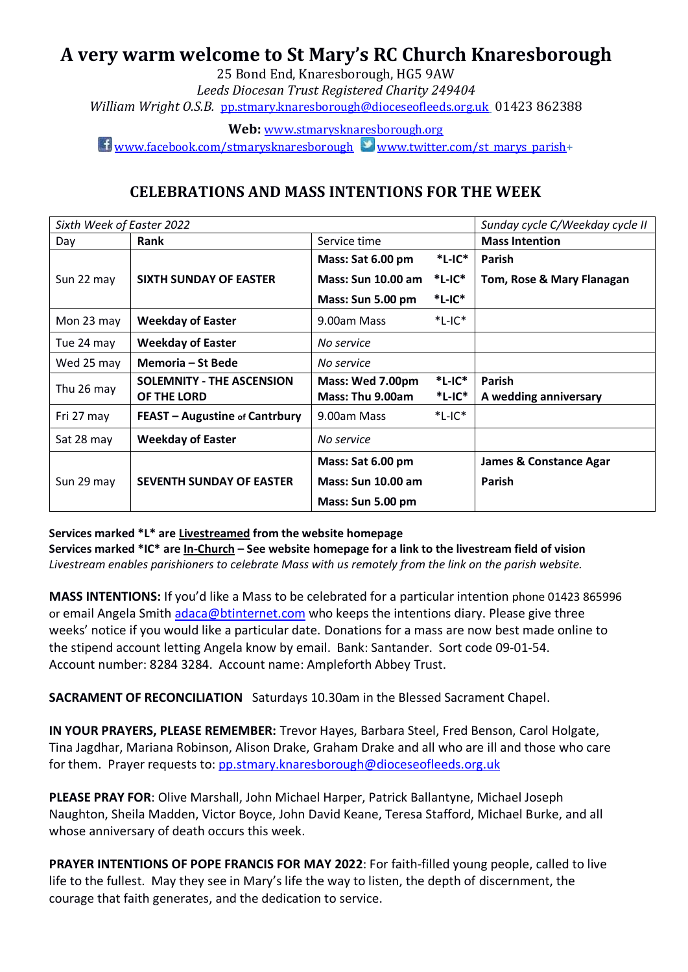# **A very warm welcome to St Mary's RC Church Knaresborough**

25 Bond End, Knaresborough, HG5 9AW *Leeds Diocesan Trust Registered Charity 249404 William Wright O.S.B.* [pp.stmary.knaresborough@dioceseofleeds.org.uk](mailto:pp.stmary.knaresborough@dioceseofleeds.org.uk) 01423 862388

**Web:** [www.stmarysknaresborough.org](http://www.stmarysknaresborough.org/)

 $\Box$  [www.facebook.com/stmarysknaresborough](http://www.facebook.com/stmarysknaresborough) [www.twitter.com/st\\_marys\\_parish+](http://www.twitter.com/st_marys_parish)

# **CELEBRATIONS AND MASS INTENTIONS FOR THE WEEK**

| Sixth Week of Easter 2022 |                                       |                           |              | Sunday cycle C/Weekday cycle II   |
|---------------------------|---------------------------------------|---------------------------|--------------|-----------------------------------|
| Day                       | <b>Rank</b>                           | Service time              |              | <b>Mass Intention</b>             |
|                           |                                       | Mass: Sat 6.00 pm         | $*$ L-IC $*$ | <b>Parish</b>                     |
| Sun 22 may                | <b>SIXTH SUNDAY OF EASTER</b>         | <b>Mass: Sun 10.00 am</b> | $*$ L-IC $*$ | Tom, Rose & Mary Flanagan         |
|                           |                                       | Mass: Sun 5.00 pm         | $*$ L-IC $*$ |                                   |
| Mon 23 may                | <b>Weekday of Easter</b>              | 9.00am Mass               | $*$ L-IC $*$ |                                   |
| Tue 24 may                | <b>Weekday of Easter</b>              | No service                |              |                                   |
| Wed 25 may                | Memoria – St Bede                     | No service                |              |                                   |
| Thu 26 may                | <b>SOLEMNITY - THE ASCENSION</b>      | Mass: Wed 7.00pm          | $*$ L-IC $*$ | <b>Parish</b>                     |
|                           | OF THE LORD                           | Mass: Thu 9.00am          | $*$ L-IC $*$ | A wedding anniversary             |
| Fri 27 may                | <b>FEAST - Augustine of Cantrbury</b> | 9.00am Mass               | $*$ L-IC $*$ |                                   |
| Sat 28 may                | <b>Weekday of Easter</b>              | No service                |              |                                   |
| Sun 29 may                | <b>SEVENTH SUNDAY OF EASTER</b>       | Mass: Sat 6.00 pm         |              | <b>James &amp; Constance Agar</b> |
|                           |                                       | <b>Mass: Sun 10.00 am</b> |              | <b>Parish</b>                     |
|                           |                                       | Mass: Sun 5.00 pm         |              |                                   |

#### **Services marked \*L\* are Livestreamed from the website homepage**

**Services marked \*IC\* are In-Church – See website homepage for a link to the livestream field of vision** *Livestream enables parishioners to celebrate Mass with us remotely from the link on the parish website.*

**MASS INTENTIONS:** If you'd like a Mass to be celebrated for a particular intention phone 01423 865996 or email Angela Smith [adaca@btinternet.com](mailto:adaca@btinternet.com) who keeps the intentions diary. Please give three weeks' notice if you would like a particular date. Donations for a mass are now best made online to the stipend account letting Angela know by email. Bank: Santander. Sort code 09-01-54. Account number: 8284 3284. Account name: Ampleforth Abbey Trust.

**SACRAMENT OF RECONCILIATION** Saturdays 10.30am in the Blessed Sacrament Chapel.

**IN YOUR PRAYERS, PLEASE REMEMBER:** Trevor Hayes, Barbara Steel, Fred Benson, Carol Holgate, Tina Jagdhar, Mariana Robinson, Alison Drake, Graham Drake and all who are ill and those who care for them. Prayer requests to: pp.stmary.knaresboroug[h@dioceseofleeds.org.uk](mailto:william.wright@dioceseofleeds.org.uk)

**PLEASE PRAY FOR**: Olive Marshall, John Michael Harper, Patrick Ballantyne, Michael Joseph Naughton, Sheila Madden, Victor Boyce, John David Keane, Teresa Stafford, Michael Burke, and all whose anniversary of death occurs this week.

**PRAYER INTENTIONS OF POPE FRANCIS FOR MAY 2022**: For faith-filled young people, called to live life to the fullest. May they see in Mary's life the way to listen, the depth of discernment, the courage that faith generates, and the dedication to service.